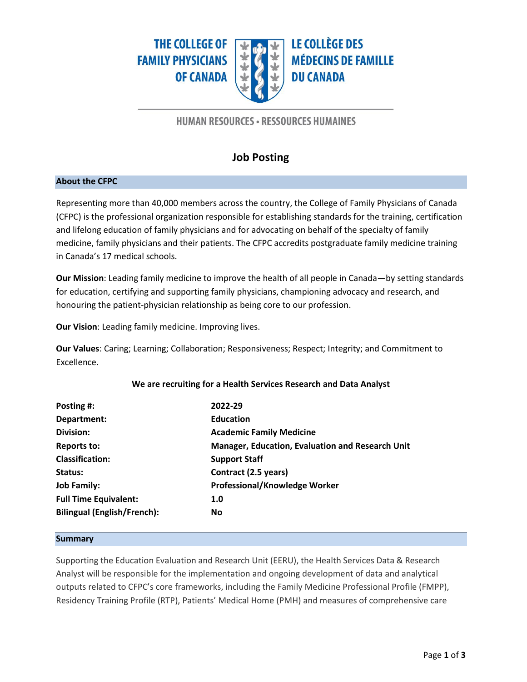**THE COLLEGE OF FAMILY PHYSICIANS OF CANADA** 



**LE COLLÈGE DES MÉDECINS DE FAMILLE DU CANADA** 

# **HUMAN RESOURCES - RESSOURCES HUMAINES**

# **Job Posting**

## **About the CFPC**

Representing more than 40,000 members across the country, the College of Family Physicians of Canada (CFPC) is the professional organization responsible for establishing standards for the training, certification and lifelong education of family physicians and for advocating on behalf of the specialty of family medicine, family physicians and their patients. The CFPC accredits postgraduate family medicine training in Canada's 17 medical schools.

**Our Mission**: Leading family medicine to improve the health of all people in Canada—by setting standards for education, certifying and supporting family physicians, championing advocacy and research, and honouring the patient-physician relationship as being core to our profession.

**Our Vision**: Leading family medicine. Improving lives.

**Our Values**: Caring; Learning; Collaboration; Responsiveness; Respect; Integrity; and Commitment to Excellence.

# **Posting #: 2022-29 Department: Education Division: Academic Family Medicine Reports to: Manager, Education, Evaluation and Research Unit Classification: Support Staff Status: Contract (2.5 years) Job Family: Professional/Knowledge Worker Full Time Equivalent: 1.0 Bilingual (English/French): No**

# **We are recruiting for a Health Services Research and Data Analyst**

#### **Summary**

Supporting the Education Evaluation and Research Unit (EERU), the Health Services Data & Research Analyst will be responsible for the implementation and ongoing development of data and analytical outputs related to CFPC's core frameworks, including the Family Medicine Professional Profile (FMPP), Residency Training Profile (RTP), Patients' Medical Home (PMH) and measures of comprehensive care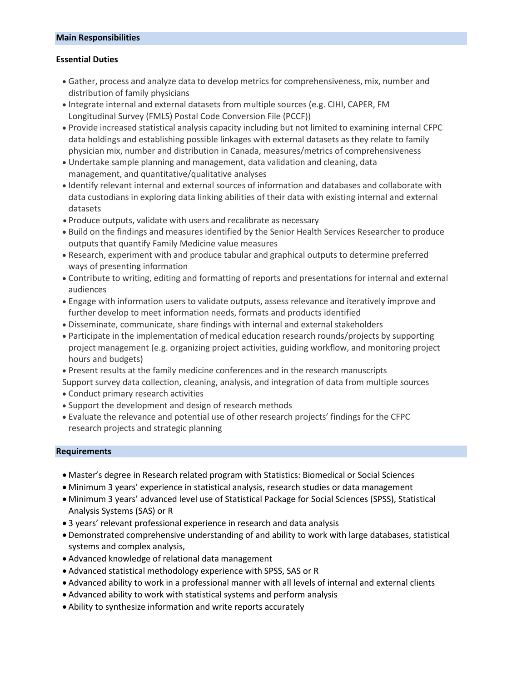#### **Main Responsibilities**

### **Essential Duties**

- Gather, process and analyze data to develop metrics for comprehensiveness, mix, number and distribution of family physicians
- Integrate internal and external datasets from multiple sources (e.g. CIHI, CAPER, FM Longitudinal Survey (FMLS) Postal Code Conversion File (PCCF))
- Provide increased statistical analysis capacity including but not limited to examining internal CFPC data holdings and establishing possible linkages with external datasets as they relate to family physician mix, number and distribution in Canada, measures/metrics of comprehensiveness
- Undertake sample planning and management, data validation and cleaning, data management, and quantitative/qualitative analyses
- Identify relevant internal and external sources of information and databases and collaborate with data custodians in exploring data linking abilities of their data with existing internal and external datasets
- Produce outputs, validate with users and recalibrate as necessary
- Build on the findings and measures identified by the Senior Health Services Researcher to produce outputs that quantify Family Medicine value measures
- Research, experiment with and produce tabular and graphical outputs to determine preferred ways of presenting information
- Contribute to writing, editing and formatting of reports and presentations for internal and external audiences
- Engage with information users to validate outputs, assess relevance and iteratively improve and further develop to meet information needs, formats and products identified
- Disseminate, communicate, share findings with internal and external stakeholders
- Participate in the implementation of medical education research rounds/projects by supporting project management (e.g. organizing project activities, guiding workflow, and monitoring project hours and budgets)
- Present results at the family medicine conferences and in the research manuscripts
- Support survey data collection, cleaning, analysis, and integration of data from multiple sources
- Conduct primary research activities
- Support the development and design of research methods
- Evaluate the relevance and potential use of other research projects' findings for the CFPC research projects and strategic planning

## **Requirements**

- Master's degree in Research related program with Statistics: Biomedical or Social Sciences
- Minimum 3 years' experience in statistical analysis, research studies or data management
- Minimum 3 years' advanced level use of Statistical Package for Social Sciences (SPSS), Statistical Analysis Systems (SAS) or R
- 3 years' relevant professional experience in research and data analysis
- Demonstrated comprehensive understanding of and ability to work with large databases, statistical systems and complex analysis,
- Advanced knowledge of relational data management
- Advanced statistical methodology experience with SPSS, SAS or R
- Advanced ability to work in a professional manner with all levels of internal and external clients
- Advanced ability to work with statistical systems and perform analysis
- Ability to synthesize information and write reports accurately